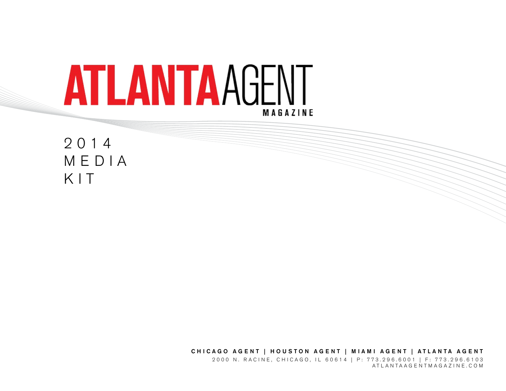

2014 MEDIA KIT

> P: 773.296.6001 • ATLANTAAGENTMAGAZINE.COM **1** ATLANTAAG E NTMAGAZ I N E.COMCHICAGO AGENT | HOUSTON AGENT | MIAMI AGENT | ATLANTA AGENT 2000 N. RACINE, CHICAGO, IL 60614 | P: 773.296.6001 | F: 773.296.6103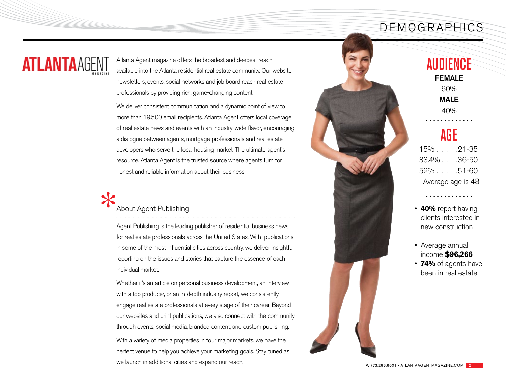### DEMOGRAPHICS

# **ATLANTAAGEN**

Atlanta Agent magazine offers the broadest and deepest reach available into the Atlanta residential real estate community. Our website, newsletters, events, social networks and job board reach real estate professionals by providing rich, game-changing content.

We deliver consistent communication and a dynamic point of view to more than 19,500 email recipients. Atlanta Agent offers local coverage of real estate news and events with an industry-wide flavor, encouraging a dialogue between agents, mortgage professionals and real estate developers who serve the local housing market. The ultimate agent's resource, Atlanta Agent is the trusted source where agents turn for honest and reliable information about their business.

# \* About Agent Publishing

Agent Publishing is the leading publisher of residential business news for real estate professionals across the United States. With publications in some of the most influential cities across country, we deliver insightful reporting on the issues and stories that capture the essence of each individual market.

Whether it's an article on personal business development, an interview with a top producer, or an in-depth industry report, we consistently engage real estate professionals at every stage of their career. Beyond our websites and print publications, we also connect with the community through events, social media, branded content, and custom publishing. With a variety of media properties in four major markets, we have the perfect venue to help you achieve your marketing goals. Stay tuned as we launch in additional cities and expand our reach.



# **AUDIENCE**

FEMALE 60%

MAIF

40%

## AGE

 $15\%$  . . . . . . 21-35 33.4% . . . 36-50  $52\%$ .... $51-60$ Average age is 48

• **40%** report having clients interested in new construction

. . . . . . . . . . . . .

- Average annual income **\$96,266** • **74%** of agents have
	- been in real estate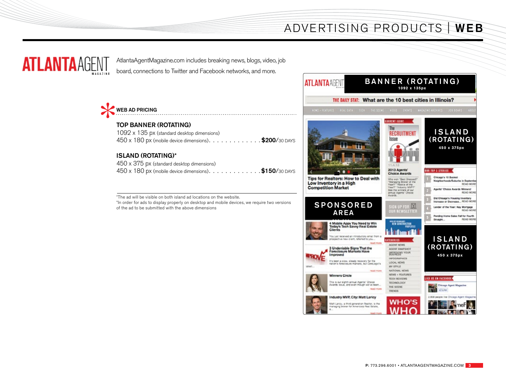## ADVERTISING PRODUCTS | WEB



AtlantaAgentMagazine.com includes breaking news, blogs, video, job board, connections to Twitter and Facebook networks, and more.



#### TOP BANNER (ROTATING)

| 1092 x 135 px (standard desktop dimensions)            |  |
|--------------------------------------------------------|--|
| 450 x 180 px (mobile device dimensions). \$200/30 DAYS |  |

#### ISLAND (ROTATING)\*

| 450 x 375 px (standard desktop dimensions)             |  |
|--------------------------------------------------------|--|
| 450 x 180 px (mobile device dimensions). \$150/30 DAYS |  |

\*The ad will be visible on both island ad locations on the website.

\*In order for ads to display properly on desktop and mobile devices, we require two versions of the ad to be submitted with the above dimensions

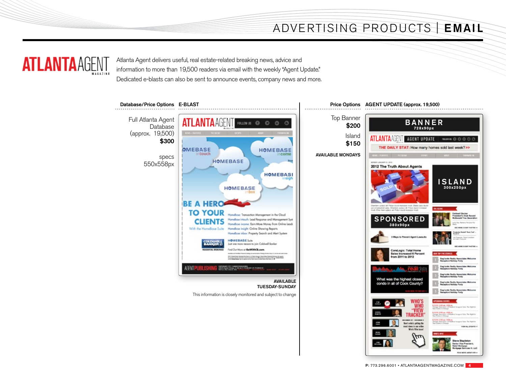## ADVERTISING PRODUCTS | EMAIL



Atlanta Agent delivers useful, real estate-related breaking news, advice and information to more than 19,500 readers via email with the weekly "Agent Update." Dedicated e-blasts can also be sent to announce events, company news and more.



P: 773.296.6001 • ATLANTAAGENTMAGAZINE.COM **4**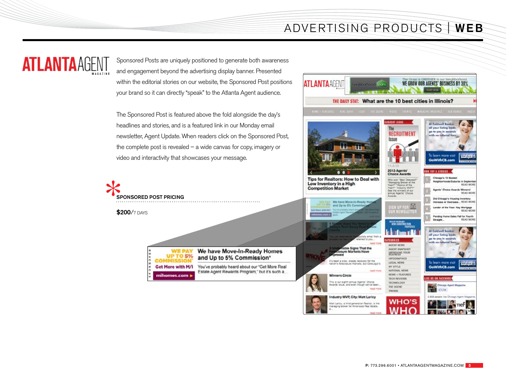## ADVERTISING PRODUCTS | WEB



Sponsored Posts are uniquely positioned to generate both awareness and engagement beyond the advertising display banner. Presented within the editorial stories on our website, the Sponsored Post positions your brand so it can directly "speak" to the Atlanta Agent audience.

The Sponsored Post is featured above the fold alongside the day's headlines and stories, and is a featured link in our Monday email newsletter, Agent Update. When readers click on the Sponsored Post, the complete post is revealed – a wide canvas for copy, imagery or video and interactivity that showcases your message.



**\$200/7 DAYS** 

|                   | We have Move-In-Ready Homes<br>and Up to 5% Commission* |
|-------------------|---------------------------------------------------------|
| Get More with M/I | You've probably heard about our "Get More Real          |
| mihomes.com >     | Estate Agent Rewards Program," but it's such a          |